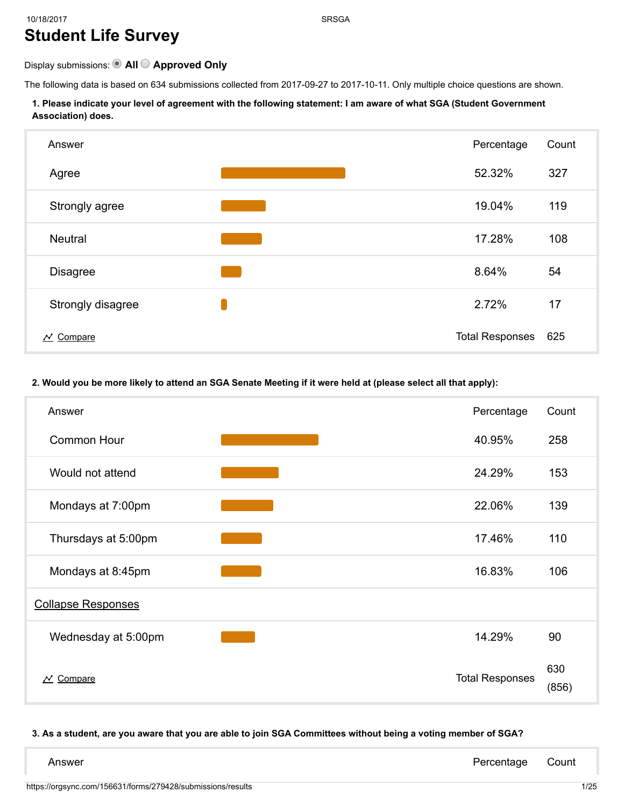# 10/18/2017 SRSGA Student Life Survey

## Display submissions: <br>
• All  $\bigcirc$  Approved Only

The following data is based on 634 submissions collected from 2017-09-27 to 2017-10-11. Only multiple choice questions are shown.

#### 1. Please indicate your level of agreement with the following statement: I am aware of what SGA (Student Government Association) does.



#### 2. Would you be more likely to attend an SGA Senate Meeting if it were held at (please select all that apply):

| Answer                           | Percentage             | Count        |
|----------------------------------|------------------------|--------------|
| <b>Common Hour</b>               | 40.95%                 | 258          |
| Would not attend                 | 24.29%                 | 153          |
| Mondays at 7:00pm                | 22.06%                 | 139          |
| Thursdays at 5:00pm              | 17.46%                 | 110          |
| Mondays at 8:45pm                | 16.83%                 | 106          |
| <b>Collapse Responses</b>        |                        |              |
| Wednesday at 5:00pm              | 14.29%                 | 90           |
| $\overline{\mathcal{N}}$ Compare | <b>Total Responses</b> | 630<br>(856) |

#### 3. As a student, are you aware that you are able to join SGA Committees without being a voting member of SGA?

| Answer | Percentage Count |  |
|--------|------------------|--|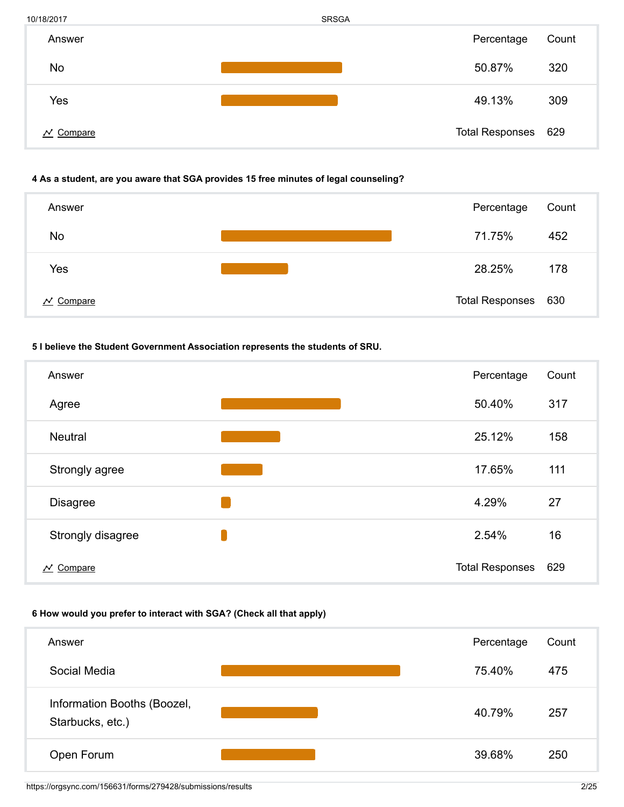| 10/18/2017            | <b>SRSGA</b> |                     |       |
|-----------------------|--------------|---------------------|-------|
| Answer                |              | Percentage          | Count |
| No                    |              | 50.87%              | 320   |
| Yes                   |              | 49.13%              | 309   |
| $\mathcal{N}$ Compare |              | Total Responses 629 |       |

#### 4 As a student, are you aware that SGA provides 15 free minutes of legal counseling?



#### 5 I believe the Student Government Association represents the students of SRU.

| Answer                           | Percentage             | Count |
|----------------------------------|------------------------|-------|
| Agree                            | 50.40%                 | 317   |
| <b>Neutral</b>                   | 25.12%                 | 158   |
| Strongly agree                   | 17.65%                 | 111   |
| <b>Disagree</b>                  | 4.29%                  | 27    |
| Strongly disagree                | 2.54%                  | 16    |
| $\overline{\mathcal{N}}$ Compare | <b>Total Responses</b> | 629   |

## 6 How would you prefer to interact with SGA? (Check all that apply)

| Answer                                          | Percentage | Count |
|-------------------------------------------------|------------|-------|
| Social Media                                    | 75.40%     | 475   |
| Information Booths (Boozel,<br>Starbucks, etc.) | 40.79%     | 257   |
| Open Forum                                      | 39.68%     | 250   |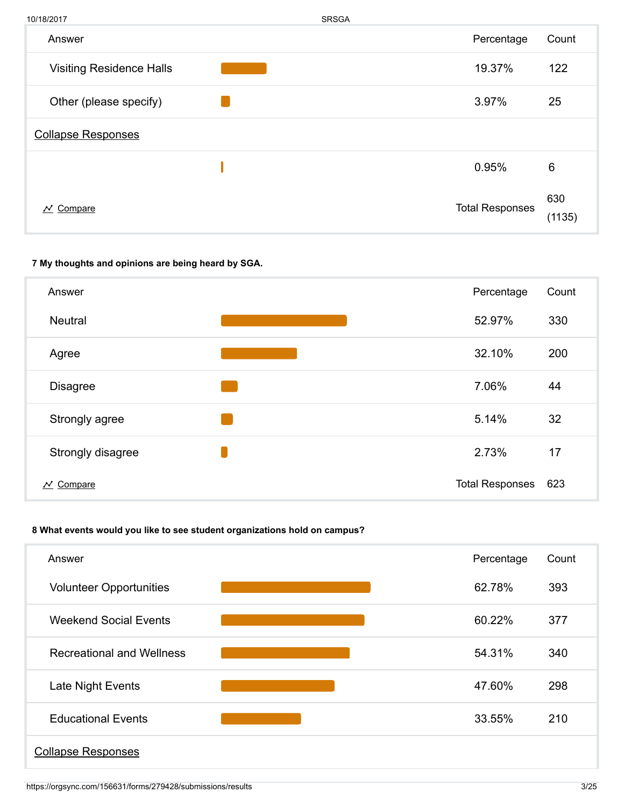| 10/18/2017                      | <b>SRSGA</b> |                        |               |
|---------------------------------|--------------|------------------------|---------------|
| Answer                          |              | Percentage             | Count         |
| <b>Visiting Residence Halls</b> |              | 19.37%                 | 122           |
| Other (please specify)          |              | 3.97%                  | 25            |
| <b>Collapse Responses</b>       |              |                        |               |
|                                 |              | 0.95%                  | 6             |
| $N$ Compare                     |              | <b>Total Responses</b> | 630<br>(1135) |

## 7 My thoughts and opinions are being heard by SGA.



## 8 What events would you like to see student organizations hold on campus?

| Answer                           | Percentage | Count |
|----------------------------------|------------|-------|
| <b>Volunteer Opportunities</b>   | 62.78%     | 393   |
| <b>Weekend Social Events</b>     | 60.22%     | 377   |
| <b>Recreational and Wellness</b> | 54.31%     | 340   |
| Late Night Events                | 47.60%     | 298   |
| <b>Educational Events</b>        | 33.55%     | 210   |
| <b>Collapse Responses</b>        |            |       |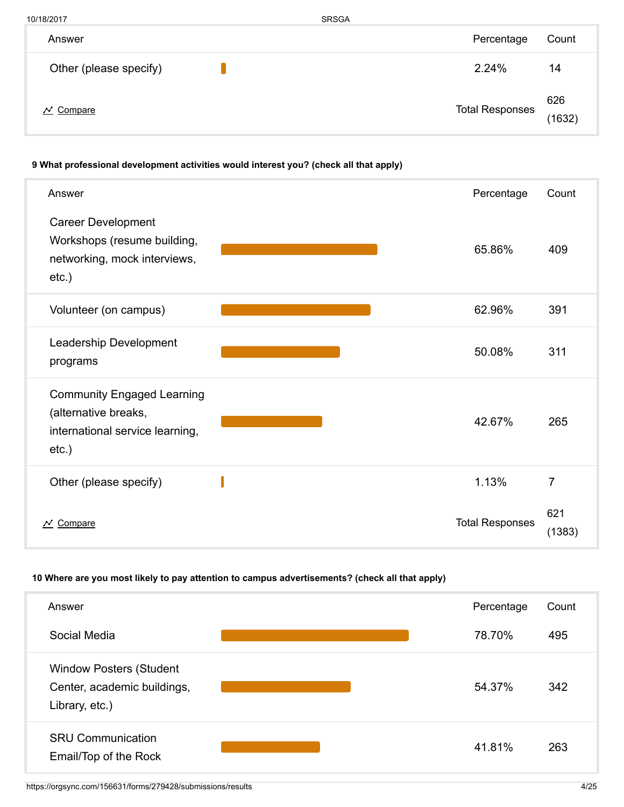| 10/18/2017             | <b>SRSGA</b>           |               |
|------------------------|------------------------|---------------|
| Answer                 | Percentage             | Count         |
| Other (please specify) | 2.24%                  | 14            |
| $\mathcal N$ Compare   | <b>Total Responses</b> | 626<br>(1632) |

## 9 What professional development activities would interest you? (check all that apply)

| Answer                                                                                                   | Percentage             | Count         |
|----------------------------------------------------------------------------------------------------------|------------------------|---------------|
| <b>Career Development</b><br>Workshops (resume building,<br>networking, mock interviews,<br>$etc.$ )     | 65.86%                 | 409           |
| Volunteer (on campus)                                                                                    | 62.96%                 | 391           |
| Leadership Development<br>programs                                                                       | 50.08%                 | 311           |
| <b>Community Engaged Learning</b><br>(alternative breaks,<br>international service learning,<br>$etc.$ ) | 42.67%                 | 265           |
| Other (please specify)                                                                                   | 1.13%                  | 7             |
| $\overline{\mathcal{N}}$ Compare                                                                         | <b>Total Responses</b> | 621<br>(1383) |

## 10 Where are you most likely to pay attention to campus advertisements? (check all that apply)

| Answer                                                                          | Percentage | Count |
|---------------------------------------------------------------------------------|------------|-------|
| Social Media                                                                    | 78.70%     | 495   |
| <b>Window Posters (Student</b><br>Center, academic buildings,<br>Library, etc.) | 54.37%     | 342   |
| <b>SRU Communication</b><br>Email/Top of the Rock                               | 41.81%     | 263   |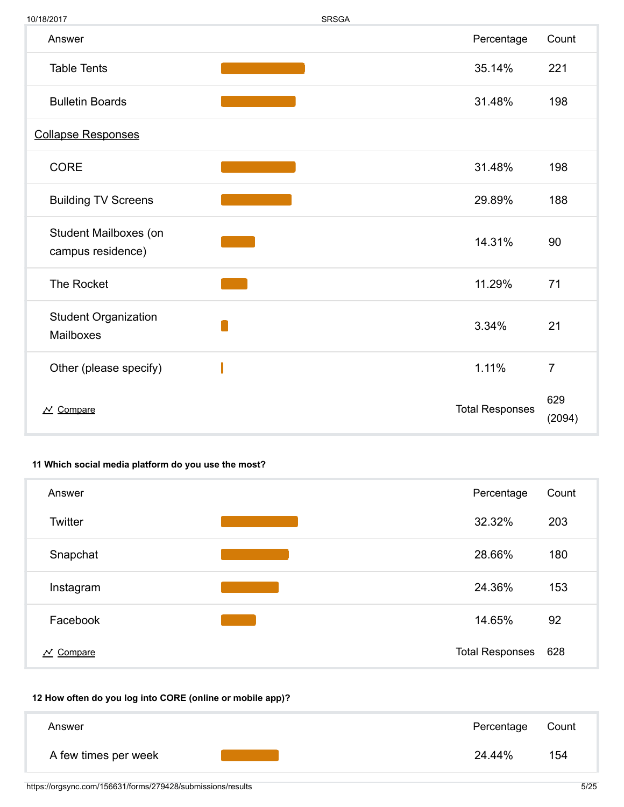| 10/18/2017                                 |                                                                                                                         | <b>SRSGA</b> |                        |                |
|--------------------------------------------|-------------------------------------------------------------------------------------------------------------------------|--------------|------------------------|----------------|
| Answer                                     |                                                                                                                         |              | Percentage             | Count          |
| <b>Table Tents</b>                         |                                                                                                                         |              | 35.14%                 | 221            |
| <b>Bulletin Boards</b>                     |                                                                                                                         |              | 31.48%                 | 198            |
| <b>Collapse Responses</b>                  |                                                                                                                         |              |                        |                |
| <b>CORE</b>                                | $\mathcal{L}(\mathcal{L})$ and $\mathcal{L}(\mathcal{L})$ and $\mathcal{L}(\mathcal{L})$ and $\mathcal{L}(\mathcal{L})$ |              | 31.48%                 | 198            |
| <b>Building TV Screens</b>                 |                                                                                                                         |              | 29.89%                 | 188            |
| Student Mailboxes (on<br>campus residence) |                                                                                                                         |              | 14.31%                 | 90             |
| The Rocket                                 |                                                                                                                         |              | 11.29%                 | 71             |
| <b>Student Organization</b><br>Mailboxes   |                                                                                                                         |              | 3.34%                  | 21             |
| Other (please specify)                     |                                                                                                                         |              | 1.11%                  | $\overline{7}$ |
| $\overline{\mathcal{N}}$ Compare           |                                                                                                                         |              | <b>Total Responses</b> | 629<br>(2094)  |

## 11 Which social media platform do you use the most?

| Answer                                | Percentage             | Count |
|---------------------------------------|------------------------|-------|
| Twitter                               | 32.32%                 | 203   |
| Snapchat                              | 28.66%                 | 180   |
| Instagram                             | 24.36%                 | 153   |
| Facebook                              | 14.65%                 | 92    |
| Compare<br>$\boldsymbol{\mathcal{N}}$ | <b>Total Responses</b> | 628   |

## 12 How often do you log into CORE (online or mobile app)?

| Answer               | Percentage | Count |
|----------------------|------------|-------|
| A few times per week | 24.44%     | 154   |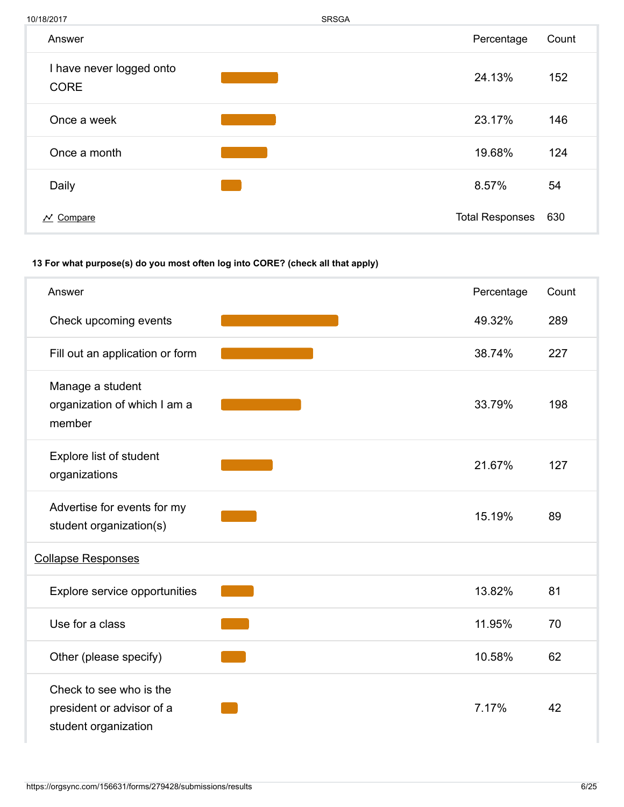10/18/2017 SRSGA  $\sim$  Compare 630 Answer **Answer** Count I have never logged onto CORE 24.13% 152 Once a week 23.17% 146 Once a month **19.68%** 124 Daily  $8.57\%$  54

## 13 For what purpose(s) do you most often log into CORE? (check all that apply)

| Answer                                                                       | Percentage | Count |
|------------------------------------------------------------------------------|------------|-------|
|                                                                              |            |       |
| Check upcoming events                                                        | 49.32%     | 289   |
| Fill out an application or form                                              | 38.74%     | 227   |
| Manage a student<br>organization of which I am a<br>member                   | 33.79%     | 198   |
| Explore list of student<br>organizations                                     | 21.67%     | 127   |
| Advertise for events for my<br>student organization(s)                       | 15.19%     | 89    |
| <b>Collapse Responses</b>                                                    |            |       |
| Explore service opportunities                                                | 13.82%     | 81    |
| Use for a class                                                              | 11.95%     | 70    |
| Other (please specify)                                                       | 10.58%     | 62    |
| Check to see who is the<br>president or advisor of a<br>student organization | 7.17%      | 42    |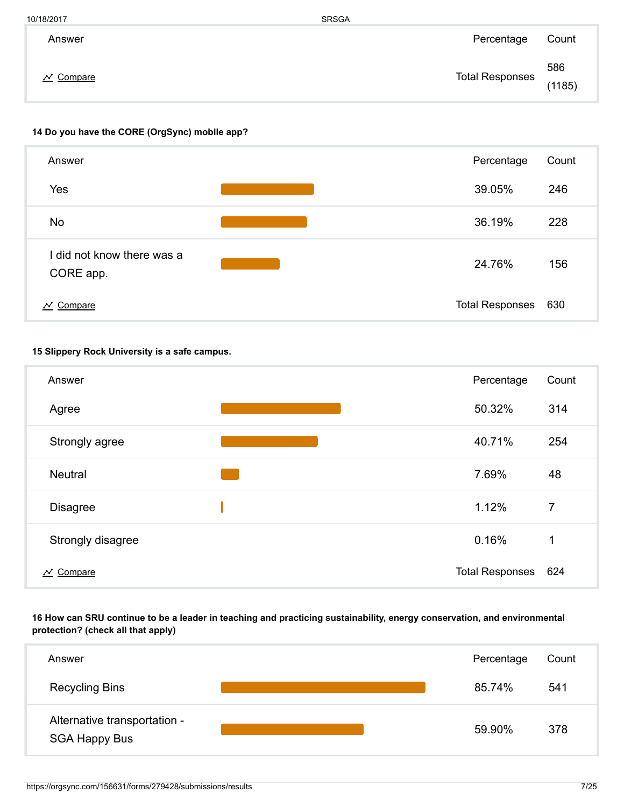| 10/18/2017       | <b>SRSGA</b>           |               |
|------------------|------------------------|---------------|
| Answer           | Percentage             | Count         |
| <u>' Compare</u> | <b>Total Responses</b> | 586<br>(1185) |

### 14 Do you have the CORE (OrgSync) mobile app?



#### 15 Slippery Rock University is a safe campus.

| Answer                | Percentage             | Count          |
|-----------------------|------------------------|----------------|
| Agree                 | 50.32%                 | 314            |
| Strongly agree        | 40.71%                 | 254            |
| <b>Neutral</b>        | 7.69%                  | 48             |
| <b>Disagree</b>       | 1.12%                  | $\overline{7}$ |
| Strongly disagree     | 0.16%                  | 1              |
| $\mathcal{N}$ Compare | <b>Total Responses</b> | 624            |

## 16 How can SRU continue to be a leader in teaching and practicing sustainability, energy conservation, and environmental protection? (check all that apply)

| Answer                                               | Percentage | Count |
|------------------------------------------------------|------------|-------|
| <b>Recycling Bins</b>                                | 85.74%     | 541   |
| Alternative transportation -<br><b>SGA Happy Bus</b> | 59.90%     | 378   |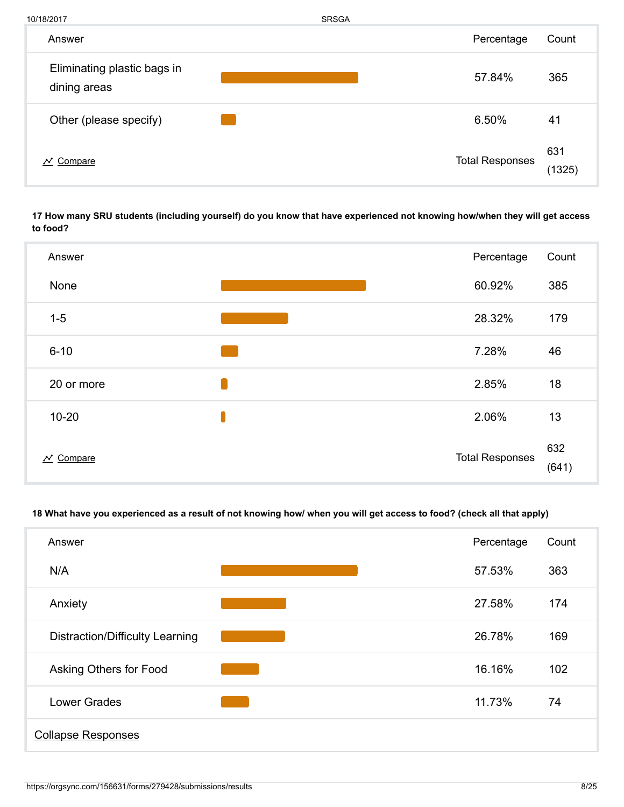| 10/18/2017                                  | <b>SRSGA</b> |                        |               |
|---------------------------------------------|--------------|------------------------|---------------|
| Answer                                      |              | Percentage             | Count         |
| Eliminating plastic bags in<br>dining areas |              | 57.84%                 | 365           |
| Other (please specify)                      |              | 6.50%                  | 41            |
| $\mathcal{N}$ Compare                       |              | <b>Total Responses</b> | 631<br>(1325) |

17 How many SRU students (including yourself) do you know that have experienced not knowing how/when they will get access to food?



## 18 What have you experienced as a result of not knowing how/ when you will get access to food? (check all that apply)

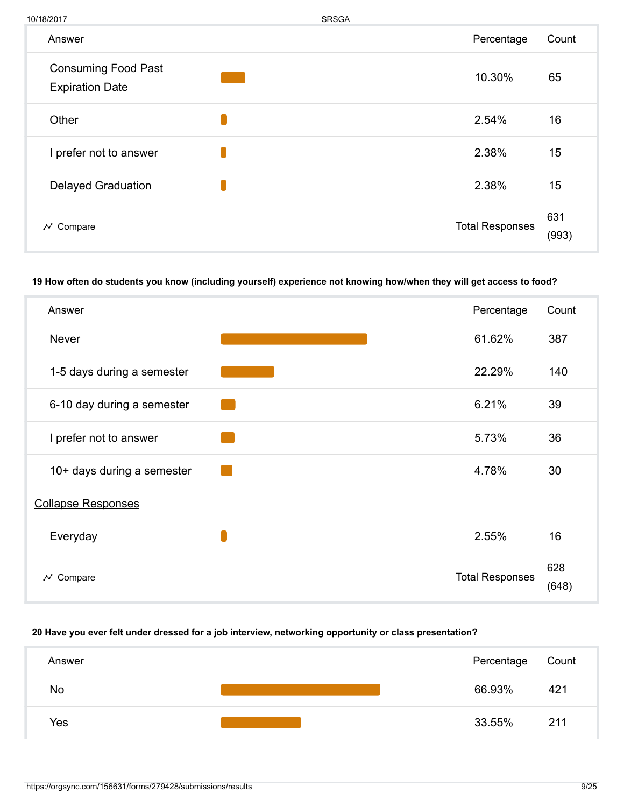| 10/18/2017                                           | <b>SRSGA</b> |                        |              |
|------------------------------------------------------|--------------|------------------------|--------------|
| Answer                                               |              | Percentage             | Count        |
| <b>Consuming Food Past</b><br><b>Expiration Date</b> |              | 10.30%                 | 65           |
| Other                                                |              | 2.54%                  | 16           |
| I prefer not to answer                               |              | 2.38%                  | 15           |
| <b>Delayed Graduation</b>                            |              | 2.38%                  | 15           |
| Compare<br>$\boldsymbol{\mathcal{N}}$                |              | <b>Total Responses</b> | 631<br>(993) |

#### 19 How often do students you know (including yourself) experience not knowing how/when they will get access to food?

| Answer                     | Percentage             | Count        |
|----------------------------|------------------------|--------------|
| <b>Never</b>               | 61.62%                 | 387          |
| 1-5 days during a semester | 22.29%                 | 140          |
| 6-10 day during a semester | 6.21%                  | 39           |
| I prefer not to answer     | 5.73%                  | 36           |
| 10+ days during a semester | 4.78%                  | 30           |
| <b>Collapse Responses</b>  |                        |              |
| Everyday                   | 2.55%                  | 16           |
| $N$ Compare                | <b>Total Responses</b> | 628<br>(648) |

#### 20 Have you ever felt under dressed for a job interview, networking opportunity or class presentation?

| Answer    |  | Percentage | Count |
|-----------|--|------------|-------|
| <b>No</b> |  | 66.93%     | 421   |
| Yes       |  | 33.55%     | 211   |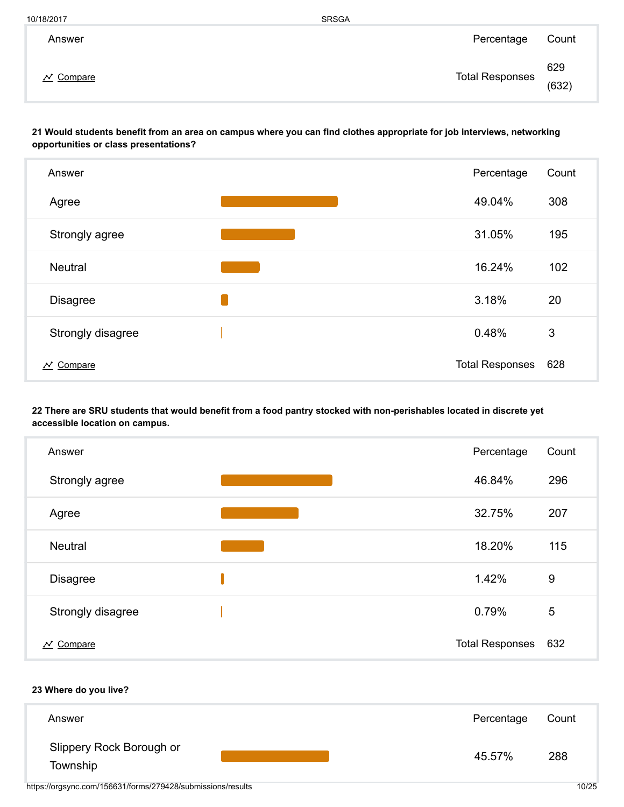| 10/18/2017 | <b>SRSGA</b> |
|------------|--------------|
|------------|--------------|

| Answer                                | Percentage             | Count        |
|---------------------------------------|------------------------|--------------|
| Compare<br>$\boldsymbol{\mathcal{N}}$ | <b>Total Responses</b> | 629<br>(632) |

21 Would students benefit from an area on campus where you can find clothes appropriate for job interviews, networking opportunities or class presentations?



22 There are SRU students that would benefit from a food pantry stocked with non-perishables located in discrete yet accessible location on campus.

| Answer                           | Percentage             | Count          |
|----------------------------------|------------------------|----------------|
| Strongly agree                   | 46.84%                 | 296            |
| Agree                            | 32.75%                 | 207            |
| <b>Neutral</b>                   | 18.20%                 | 115            |
| <b>Disagree</b>                  | 1.42%                  | 9              |
| Strongly disagree                | 0.79%                  | $\overline{5}$ |
| $\overline{\mathcal{N}}$ Compare | <b>Total Responses</b> | 632            |

#### 23 Where do you live?

| Answer                               |  | Percentage | Count |
|--------------------------------------|--|------------|-------|
| Slippery Rock Borough or<br>Township |  | 45.57%     | 288   |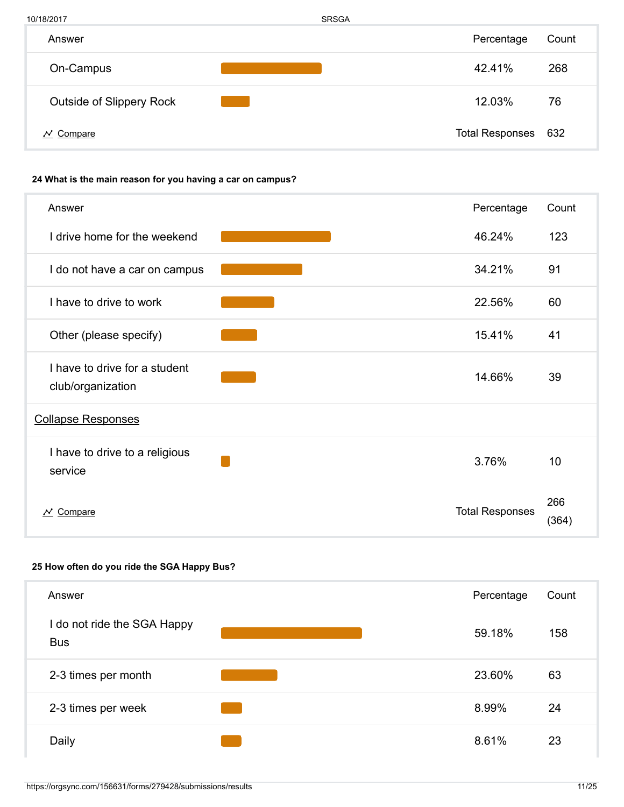| 10/18/2017                      | <b>SRSGA</b> |                        |       |
|---------------------------------|--------------|------------------------|-------|
| Answer                          |              | Percentage             | Count |
| On-Campus                       |              | 42.41%                 | 268   |
| <b>Outside of Slippery Rock</b> |              | 12.03%                 | 76    |
| Compare                         |              | <b>Total Responses</b> | 632   |

## 24 What is the main reason for you having a car on campus?

| Answer                                             | Percentage             | Count        |
|----------------------------------------------------|------------------------|--------------|
| I drive home for the weekend                       | 46.24%                 | 123          |
| I do not have a car on campus                      | 34.21%                 | 91           |
| I have to drive to work                            | 22.56%                 | 60           |
| Other (please specify)                             | 15.41%                 | 41           |
| I have to drive for a student<br>club/organization | 14.66%                 | 39           |
| <b>Collapse Responses</b>                          |                        |              |
| I have to drive to a religious<br>service          | 3.76%                  | 10           |
| Compare<br>$\boldsymbol{\mathcal{N}}$              | <b>Total Responses</b> | 266<br>(364) |

## 25 How often do you ride the SGA Happy Bus?

| Answer                                    | Percentage | Count |
|-------------------------------------------|------------|-------|
| I do not ride the SGA Happy<br><b>Bus</b> | 59.18%     | 158   |
| 2-3 times per month                       | 23.60%     | 63    |
| 2-3 times per week                        | 8.99%      | 24    |
| Daily                                     | 8.61%      | 23    |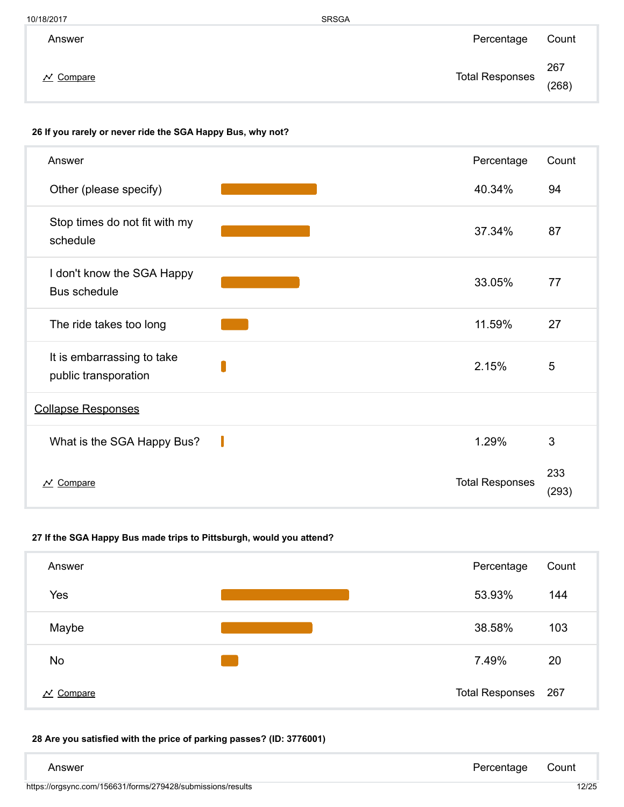| 10/18/2017 | <b>SRSGA</b> |
|------------|--------------|
|            |              |

| Answer                           | Percentage             | Count        |
|----------------------------------|------------------------|--------------|
| $\overline{\mathcal{N}}$ Compare | <b>Total Responses</b> | 267<br>(268) |

#### 26 If you rarely or never ride the SGA Happy Bus, why not?

| Answer                                             | Percentage             | Count        |
|----------------------------------------------------|------------------------|--------------|
| Other (please specify)                             | 40.34%                 | 94           |
| Stop times do not fit with my<br>schedule          | 37.34%                 | 87           |
| I don't know the SGA Happy<br>Bus schedule         | 33.05%                 | 77           |
| The ride takes too long                            | 11.59%                 | 27           |
| It is embarrassing to take<br>public transporation | 2.15%                  | 5            |
| <b>Collapse Responses</b>                          |                        |              |
| What is the SGA Happy Bus?                         | 1.29%                  | 3            |
| $\overline{\mathcal{N}}$ Compare                   | <b>Total Responses</b> | 233<br>(293) |

## 27 If the SGA Happy Bus made trips to Pittsburgh, would you attend?

| Answer                                | Percentage          | Count |
|---------------------------------------|---------------------|-------|
| Yes                                   | 53.93%              | 144   |
| Maybe                                 | 38.58%              | 103   |
| <b>No</b>                             | 7.49%               | 20    |
| Compare<br>$\boldsymbol{\mathcal{N}}$ | Total Responses 267 |       |

## 28 Are you satisfied with the price of parking passes? (ID: 3776001)

| Answer                                                      | Percentage | Count |
|-------------------------------------------------------------|------------|-------|
| https://orgsync.com/156631/forms/279428/submissions/results |            | 12/25 |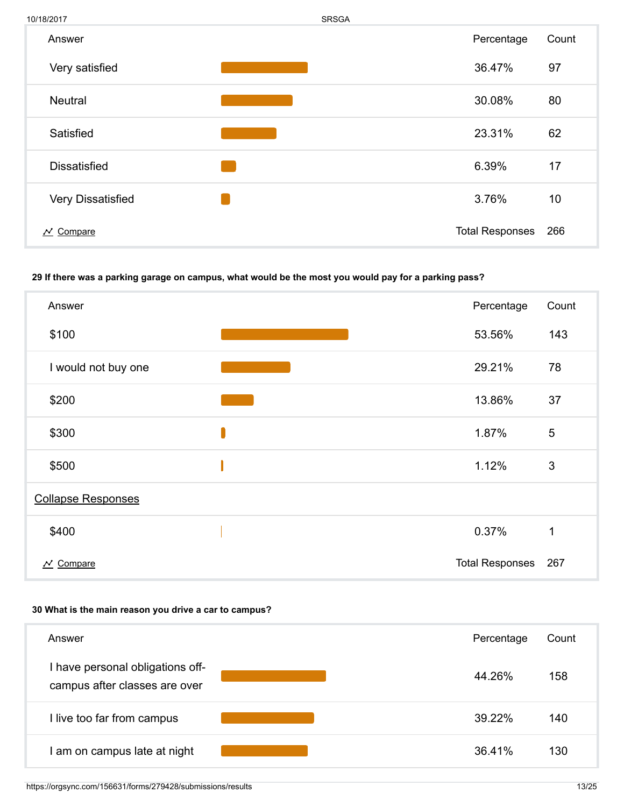

#### 29 If there was a parking garage on campus, what would be the most you would pay for a parking pass?

| Answer                           | Percentage             | Count |
|----------------------------------|------------------------|-------|
| \$100                            | 53.56%                 | 143   |
| I would not buy one              | 29.21%                 | 78    |
| \$200                            | 13.86%                 | 37    |
| \$300                            | 1.87%                  | 5     |
| \$500                            | 1.12%                  | 3     |
| <b>Collapse Responses</b>        |                        |       |
| \$400                            | 0.37%                  | 1     |
| $\overline{\mathcal{N}}$ Compare | <b>Total Responses</b> | 267   |

#### 30 What is the main reason you drive a car to campus?

| Answer                                                          |  | Percentage | Count |
|-----------------------------------------------------------------|--|------------|-------|
| have personal obligations off-<br>campus after classes are over |  | 44.26%     | 158   |
| live too far from campus                                        |  | 39.22%     | 140   |
| am on campus late at night                                      |  | 36.41%     | 130   |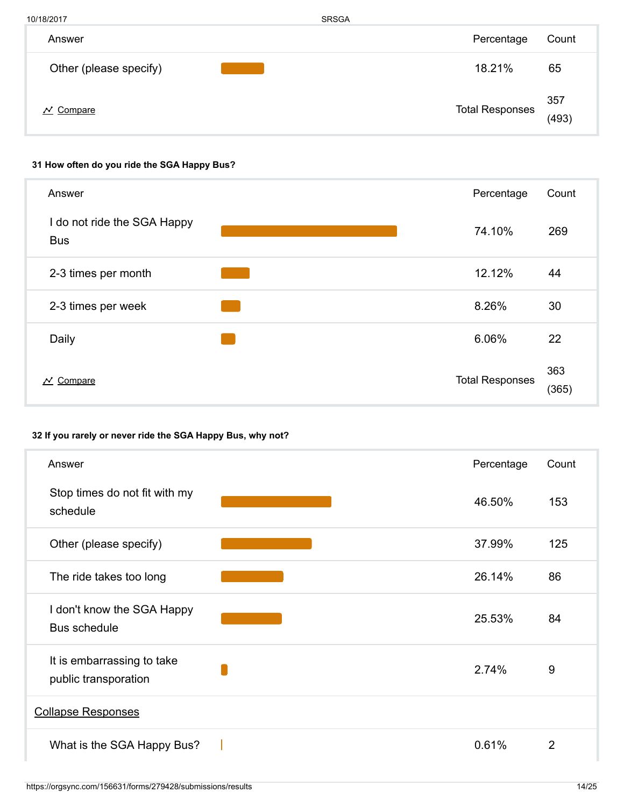10/18/2017 SRSGA Total Responses Answer **Answer** Count Other (please specify) **18.21%** 65  $\overline{\mathcal{N}}$  Compare 357 (493)

## 31 How often do you ride the SGA Happy Bus?

| Answer                                    | Percentage             | Count        |
|-------------------------------------------|------------------------|--------------|
| I do not ride the SGA Happy<br><b>Bus</b> | 74.10%                 | 269          |
| 2-3 times per month                       | 12.12%                 | 44           |
| 2-3 times per week                        | 8.26%                  | 30           |
| Daily                                     | 6.06%                  | 22           |
| Compare<br>$\boldsymbol{\mathcal{N}}$     | <b>Total Responses</b> | 363<br>(365) |

## 32 If you rarely or never ride the SGA Happy Bus, why not?

| Answer                                             | Percentage | Count |
|----------------------------------------------------|------------|-------|
| Stop times do not fit with my<br>schedule          | 46.50%     | 153   |
| Other (please specify)                             | 37.99%     | 125   |
| The ride takes too long                            | 26.14%     | 86    |
| I don't know the SGA Happy<br>Bus schedule         | 25.53%     | 84    |
| It is embarrassing to take<br>public transporation | 2.74%      | 9     |
| <b>Collapse Responses</b>                          |            |       |
| What is the SGA Happy Bus?                         | 0.61%      | 2     |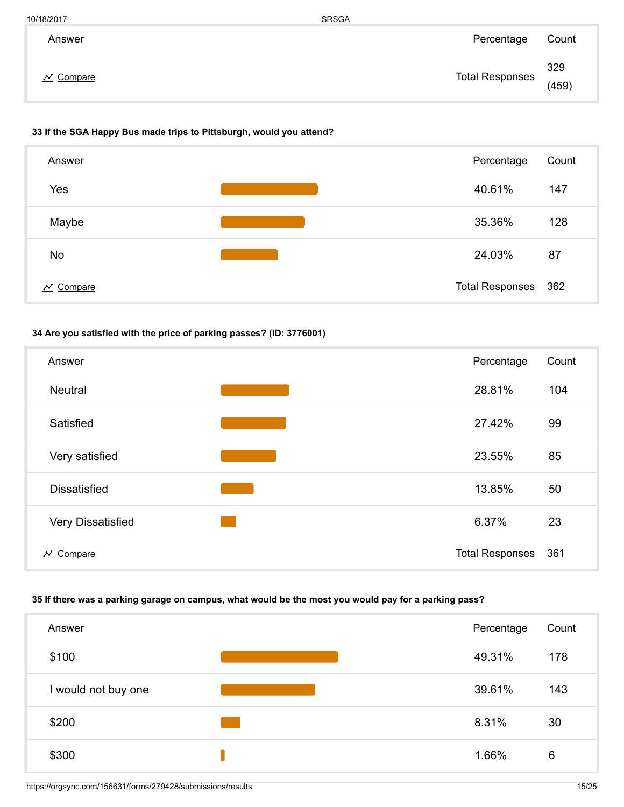| 10/18/2017     | <b>SRSGA</b>           |              |
|----------------|------------------------|--------------|
| Answer         | Percentage             | Count        |
| <b>Compare</b> | <b>Total Responses</b> | 329<br>(459) |

#### 33 If the SGA Happy Bus made trips to Pittsburgh, would you attend?



## 34 Are you satisfied with the price of parking passes? (ID: 3776001)



## 35 If there was a parking garage on campus, what would be the most you would pay for a parking pass?

| Answer              | Percentage | Count |
|---------------------|------------|-------|
| \$100               | 49.31%     | 178   |
| I would not buy one | 39.61%     | 143   |
| \$200               | 8.31%      | 30    |
| \$300               | 1.66%      | 6     |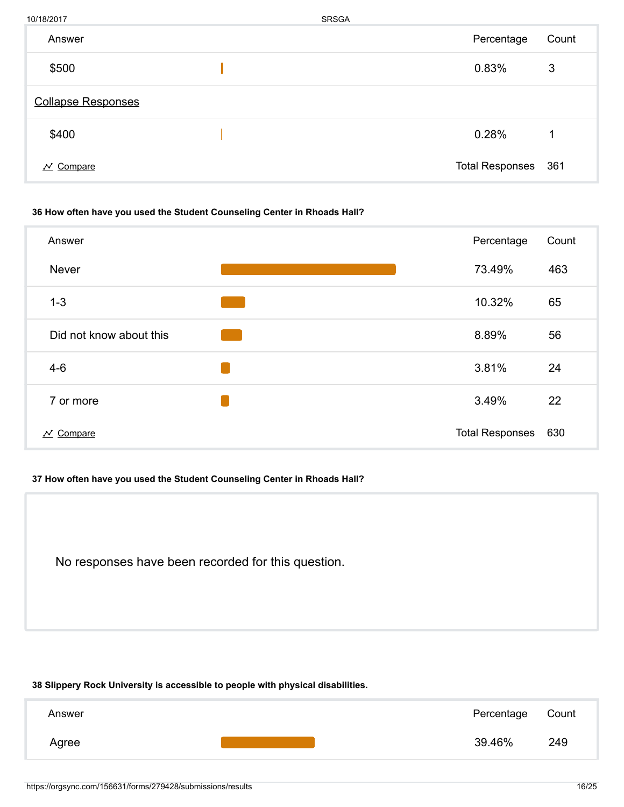| 10/18/2017                | <b>SRSGA</b> |                        |       |
|---------------------------|--------------|------------------------|-------|
| Answer                    |              | Percentage             | Count |
| \$500                     |              | 0.83%                  | 3     |
| <b>Collapse Responses</b> |              |                        |       |
| \$400                     |              | 0.28%                  | 1     |
| $\mathcal{N}$ Compare     |              | <b>Total Responses</b> | 361   |

#### 36 How often have you used the Student Counseling Center in Rhoads Hall?

| Answer                                | Percentage             | Count |
|---------------------------------------|------------------------|-------|
| <b>Never</b>                          | 73.49%                 | 463   |
| $1 - 3$                               | 10.32%                 | 65    |
| Did not know about this               | 8.89%                  | 56    |
| $4-6$                                 | 3.81%                  | 24    |
| 7 or more                             | 3.49%                  | 22    |
| Compare<br>$\boldsymbol{\mathcal{N}}$ | <b>Total Responses</b> | 630   |

#### 37 How often have you used the Student Counseling Center in Rhoads Hall?

No responses have been recorded for this question.

## 38 Slippery Rock University is accessible to people with physical disabilities.

| Answer |  | Percentage | Count |
|--------|--|------------|-------|
| Agree  |  | 39.46%     | 249   |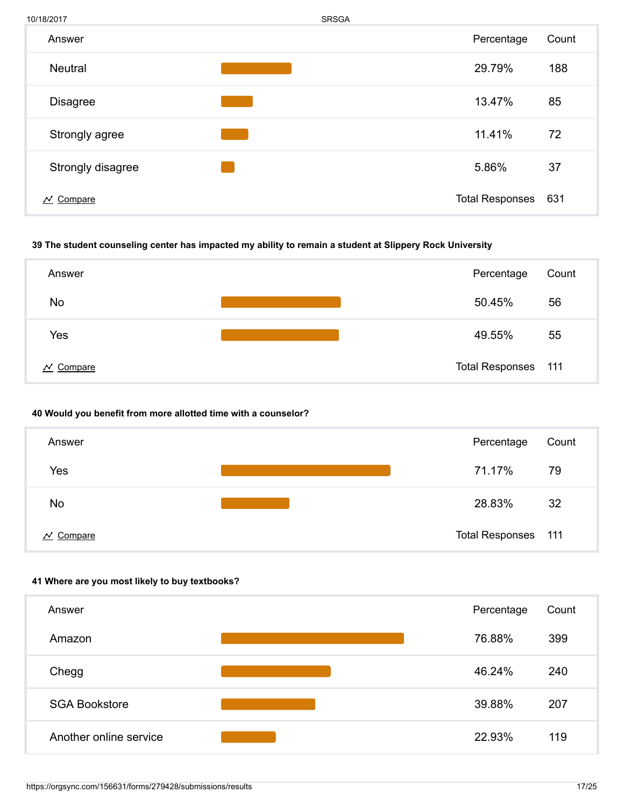

#### 39 The student counseling center has impacted my ability to remain a student at Slippery Rock University



#### 40 Would you benefit from more allotted time with a counselor?

| Answer                           | Percentage          | Count |
|----------------------------------|---------------------|-------|
| Yes                              | 71.17%              | 79    |
| No                               | 28.83%              | 32    |
| $\overline{\mathcal{N}}$ Compare | Total Responses 111 |       |

#### 41 Where are you most likely to buy textbooks?

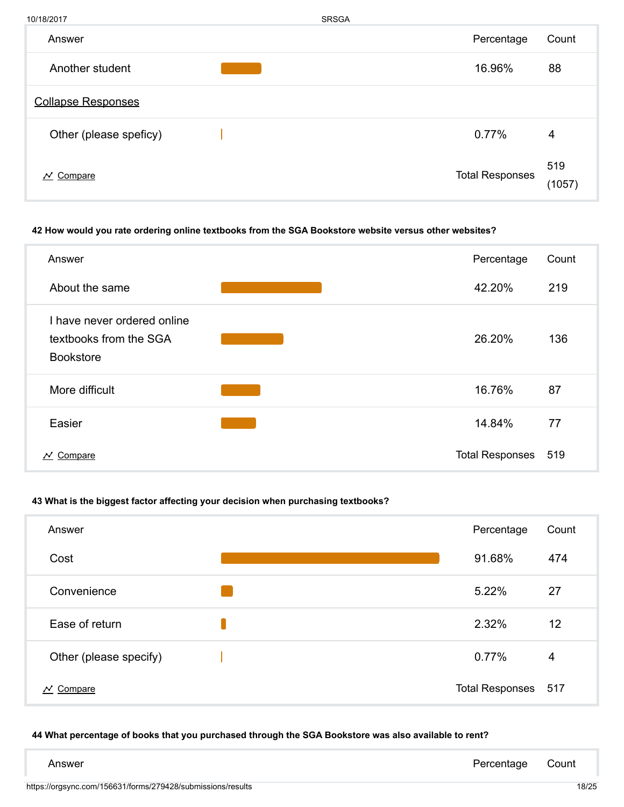| 10/18/2017                       | <b>SRSGA</b>           |               |
|----------------------------------|------------------------|---------------|
| Answer                           | Percentage             | Count         |
| Another student                  | 16.96%                 | 88            |
| <b>Collapse Responses</b>        |                        |               |
| Other (please speficy)           | 0.77%                  | 4             |
| $\overline{\mathcal{N}}$ Compare | <b>Total Responses</b> | 519<br>(1057) |

### 42 How would you rate ordering online textbooks from the SGA Bookstore website versus other websites?

| Answer                                                                    | Percentage             | Count |
|---------------------------------------------------------------------------|------------------------|-------|
| About the same                                                            | 42.20%                 | 219   |
| I have never ordered online<br>textbooks from the SGA<br><b>Bookstore</b> | 26.20%                 | 136   |
| More difficult                                                            | 16.76%                 | 87    |
| Easier                                                                    | 14.84%                 | 77    |
| $N$ Compare                                                               | <b>Total Responses</b> | 519   |

#### 43 What is the biggest factor affecting your decision when purchasing textbooks?

| Answer                                | Percentage             | Count |
|---------------------------------------|------------------------|-------|
| Cost                                  | 91.68%                 | 474   |
| Convenience                           | 5.22%                  | 27    |
| Ease of return                        | 2.32%                  | 12    |
| Other (please specify)                | 0.77%                  | 4     |
| Compare<br>$\boldsymbol{\mathcal{N}}$ | <b>Total Responses</b> | 517   |

### 44 What percentage of books that you purchased through the SGA Bookstore was also available to rent?

| Answer | Percentage Count |  |
|--------|------------------|--|
|        |                  |  |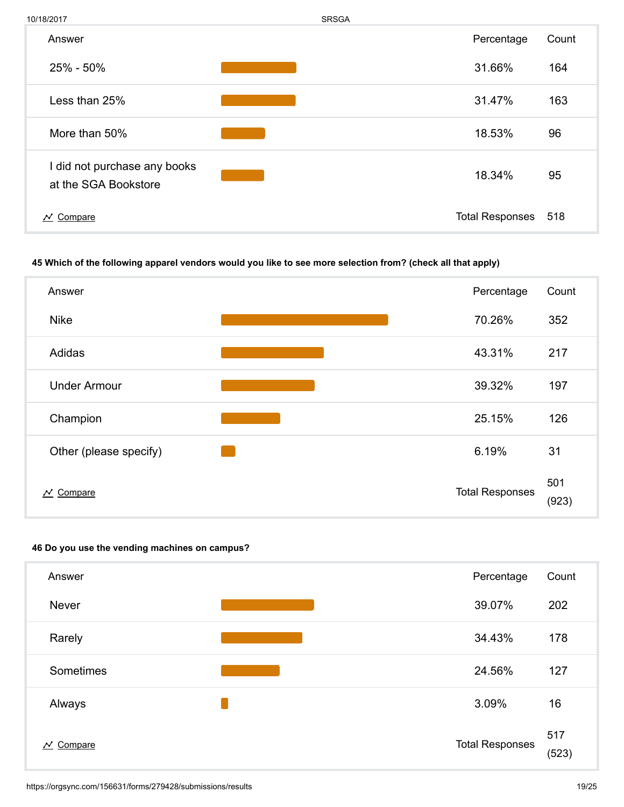

#### 45 Which of the following apparel vendors would you like to see more selection from? (check all that apply)



#### 46 Do you use the vending machines on campus?

| Answer                                | Percentage             | Count        |
|---------------------------------------|------------------------|--------------|
| <b>Never</b>                          | 39.07%                 | 202          |
| Rarely                                | 34.43%                 | 178          |
| Sometimes                             | 24.56%                 | 127          |
| Always                                | 3.09%                  | 16           |
| Compare<br>$\boldsymbol{\mathcal{N}}$ | <b>Total Responses</b> | 517<br>(523) |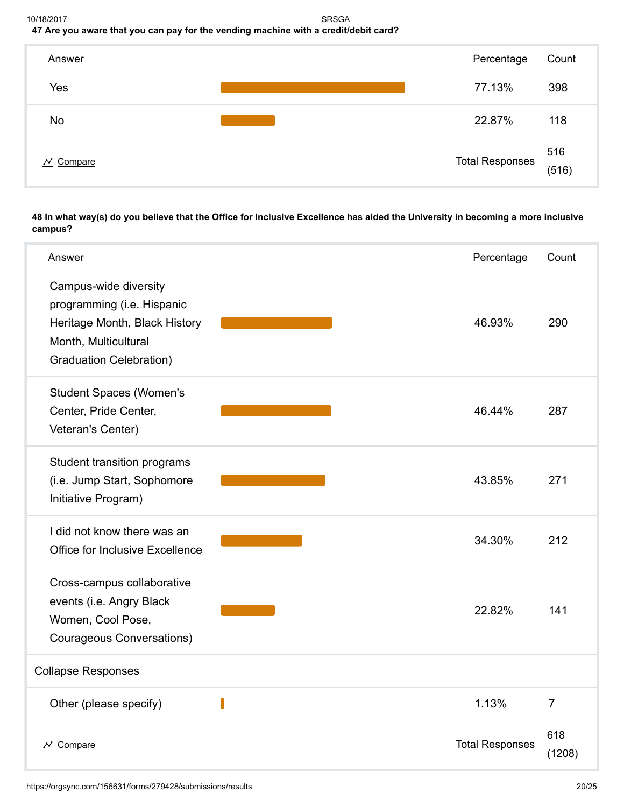#### 10/18/2017 SRSGA 47 Are you aware that you can pay for the vending machine with a credit/debit card?



#### 48 In what way(s) do you believe that the Office for Inclusive Excellence has aided the University in becoming a more inclusive campus?

| Answer                                                                                                                                         | Percentage             | Count          |
|------------------------------------------------------------------------------------------------------------------------------------------------|------------------------|----------------|
| Campus-wide diversity<br>programming (i.e. Hispanic<br>Heritage Month, Black History<br>Month, Multicultural<br><b>Graduation Celebration)</b> | 46.93%                 | 290            |
| <b>Student Spaces (Women's</b><br>Center, Pride Center,<br>Veteran's Center)                                                                   | 46.44%                 | 287            |
| Student transition programs<br>(i.e. Jump Start, Sophomore<br>Initiative Program)                                                              | 43.85%                 | 271            |
| I did not know there was an<br><b>Office for Inclusive Excellence</b>                                                                          | 34.30%                 | 212            |
| Cross-campus collaborative<br>events (i.e. Angry Black<br>Women, Cool Pose,<br>Courageous Conversations)                                       | 22.82%                 | 141            |
| <b>Collapse Responses</b>                                                                                                                      |                        |                |
| Other (please specify)                                                                                                                         | 1.13%                  | $\overline{7}$ |
| $\overline{\mathcal{N}}$ Compare                                                                                                               | <b>Total Responses</b> | 618<br>(1208)  |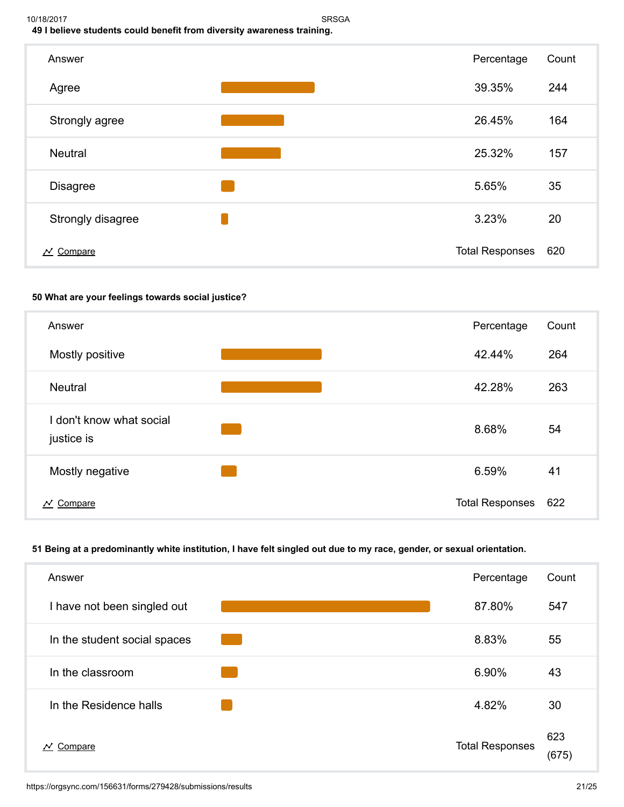

## 50 What are your feelings towards social justice?



## 51 Being at a predominantly white institution, I have felt singled out due to my race, gender, or sexual orientation.

| Answer                                | Percentage             | Count        |
|---------------------------------------|------------------------|--------------|
| I have not been singled out           | 87.80%                 | 547          |
| In the student social spaces          | 8.83%                  | 55           |
| In the classroom                      | 6.90%                  | 43           |
| In the Residence halls                | 4.82%                  | 30           |
| Compare<br>$\boldsymbol{\mathcal{N}}$ | <b>Total Responses</b> | 623<br>(675) |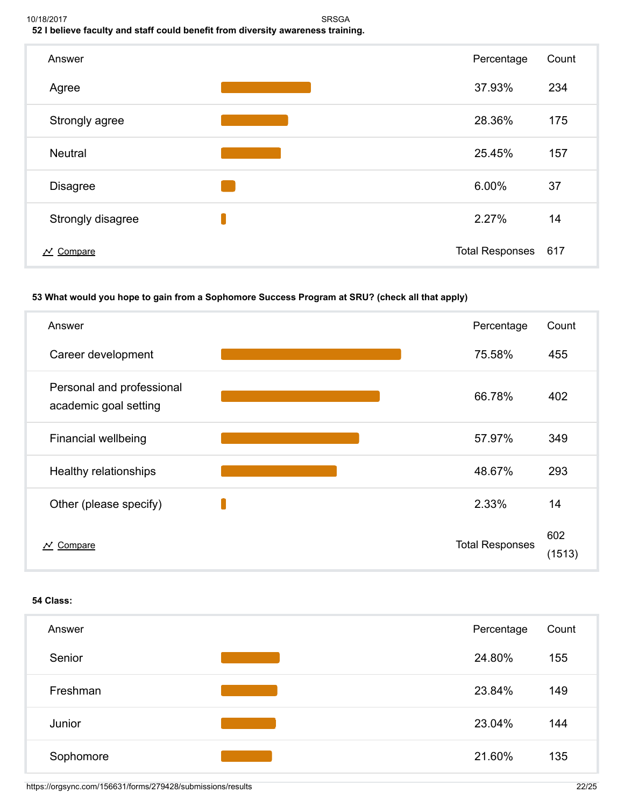#### 10/18/2017 SRSGA 52 I believe faculty and staff could benefit from diversity awareness training.



## 53 What would you hope to gain from a Sophomore Success Program at SRU? (check all that apply)

| Answer                                             | Percentage             | Count         |
|----------------------------------------------------|------------------------|---------------|
| Career development                                 | 75.58%                 | 455           |
| Personal and professional<br>academic goal setting | 66.78%                 | 402           |
| <b>Financial wellbeing</b>                         | 57.97%                 | 349           |
| Healthy relationships                              | 48.67%                 | 293           |
| Other (please specify)                             | 2.33%                  | 14            |
| Compare<br>$\boldsymbol{\mathcal{N}}$              | <b>Total Responses</b> | 602<br>(1513) |

#### 54 Class:

| Answer    | Percentage | Count |
|-----------|------------|-------|
| Senior    | 24.80%     | 155   |
| Freshman  | 23.84%     | 149   |
| Junior    | 23.04%     | 144   |
| Sophomore | 21.60%     | 135   |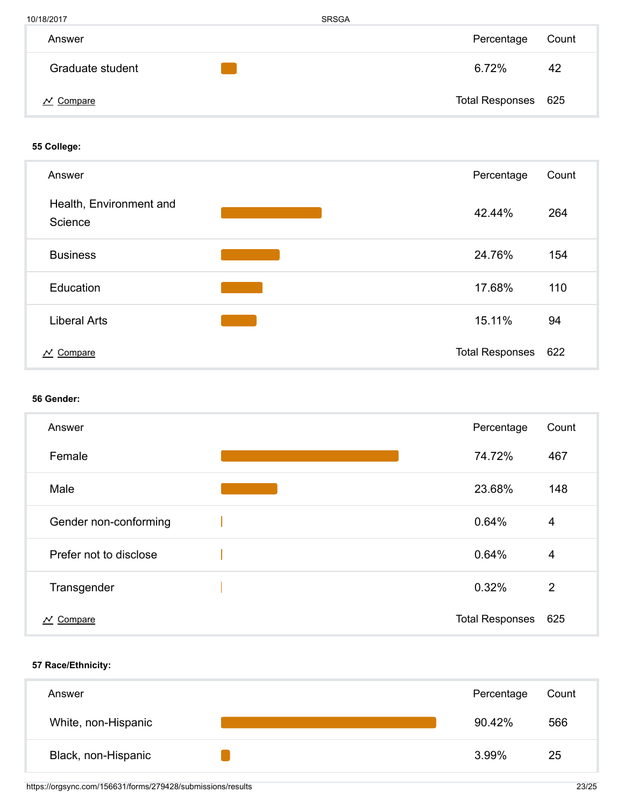| 10/18/2017       | <b>SRSGA</b> |                     |       |
|------------------|--------------|---------------------|-------|
| Answer           |              | Percentage          | Count |
| Graduate student |              | 6.72%               | 42    |
| Compare          |              | Total Responses 625 |       |

## 55 College:

| Answer                                | Percentage             | Count |
|---------------------------------------|------------------------|-------|
| Health, Environment and<br>Science    | 42.44%                 | 264   |
| <b>Business</b>                       | 24.76%                 | 154   |
| Education                             | 17.68%                 | 110   |
| <b>Liberal Arts</b>                   | 15.11%                 | 94    |
| Compare<br>$\boldsymbol{\mathcal{N}}$ | <b>Total Responses</b> | 622   |

## 56 Gender:

| Answer                                | Percentage             | Count          |
|---------------------------------------|------------------------|----------------|
| Female                                | 74.72%                 | 467            |
| Male                                  | 23.68%                 | 148            |
| Gender non-conforming                 | 0.64%                  | $\overline{4}$ |
| Prefer not to disclose                | 0.64%                  | $\overline{4}$ |
| Transgender                           | 0.32%                  | $\overline{2}$ |
| Compare<br>$\boldsymbol{\mathcal{N}}$ | <b>Total Responses</b> | 625            |

## 57 Race/Ethnicity:

| Answer              | Percentage | Count |
|---------------------|------------|-------|
| White, non-Hispanic | 90.42%     | 566   |
| Black, non-Hispanic | 3.99%      | 25    |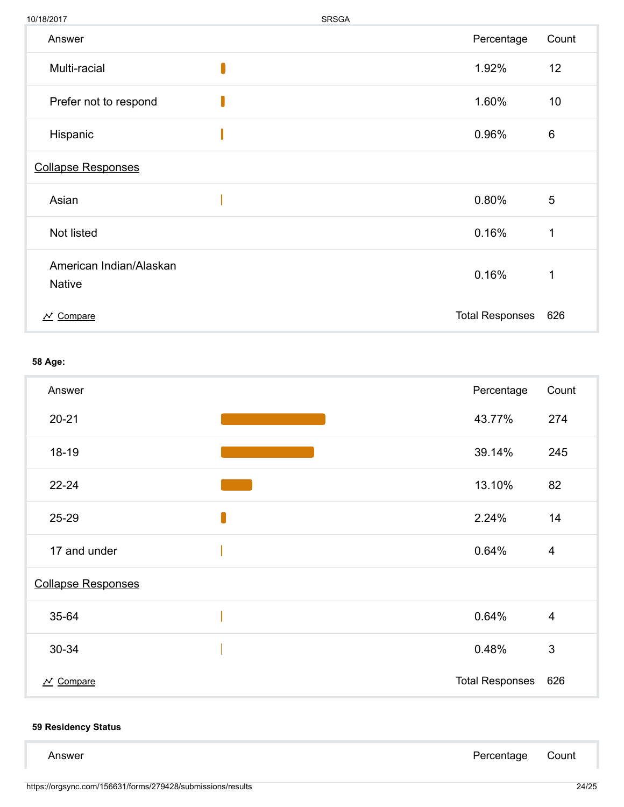| 10/18/2017                               | SRSGA |                        |       |
|------------------------------------------|-------|------------------------|-------|
| Answer                                   |       | Percentage             | Count |
| Multi-racial                             |       | 1.92%                  | 12    |
| Prefer not to respond                    |       | 1.60%                  | 10    |
| Hispanic                                 |       | 0.96%                  | 6     |
| <b>Collapse Responses</b>                |       |                        |       |
| Asian                                    |       | 0.80%                  | 5     |
| Not listed                               |       | 0.16%                  | 1     |
| American Indian/Alaskan<br><b>Native</b> |       | 0.16%                  | 1     |
| $N$ Compare                              |       | <b>Total Responses</b> | 626   |

## 58 Age:

| Answer                           |   | Percentage             | Count          |
|----------------------------------|---|------------------------|----------------|
| $20 - 21$                        |   | 43.77%                 | 274            |
| $18 - 19$                        |   | 39.14%                 | 245            |
| $22 - 24$                        |   | 13.10%                 | 82             |
| 25-29                            | ſ | 2.24%                  | 14             |
| 17 and under                     |   | 0.64%                  | $\overline{4}$ |
| <b>Collapse Responses</b>        |   |                        |                |
| 35-64                            |   | 0.64%                  | $\overline{4}$ |
| 30-34                            |   | 0.48%                  | $\sqrt{3}$     |
| $\overline{\mathcal{N}}$ Compare |   | <b>Total Responses</b> | 626            |

## 59 Residency Status

| Answer | Percentage Count |  |
|--------|------------------|--|
|        |                  |  |